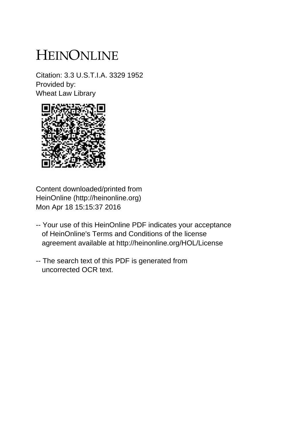# HEINONLINE

Citation: 3.3 U.S.T.I.A. 3329 1952 Provided by: Wheat Law Library



Content downloaded/printed from HeinOnline (http://heinonline.org) Mon Apr 18 15:15:37 2016

- -- Your use of this HeinOnline PDF indicates your acceptance of HeinOnline's Terms and Conditions of the license agreement available at http://heinonline.org/HOL/License
- -- The search text of this PDF is generated from uncorrected OCR text.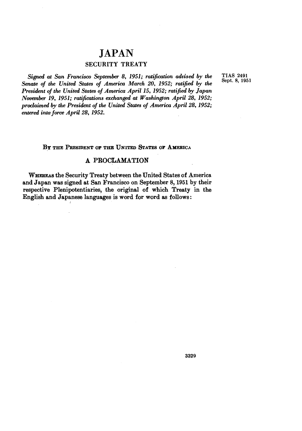# **JAPAN**

### SECURITY TREATY

*Signed at San Francisco September 8, 1951; ratification advised by the* TIAS 2491 Senate of the United States of America March 20, 1952; ratified by the *President of the United States of America April 15, 1952; ratified by Japan November 19, 1951; ratifications exchanged at Washington April 28, 1952; proclaimed by the President of the United States of America April 28, 1952; entered into force April 28, 1952.*

### BY **THE PRESIDENT OF THE UNITED STATES OF AMERICA**

### **A** PROCLAMATION

**WHEREAS** the Security Treaty between the United States of America and Japan was signed at San Francisco on September **8, 1951 by** their respective Plenipotentiaries, the original of which Treaty in the English and Japanese languages is word for word as follows: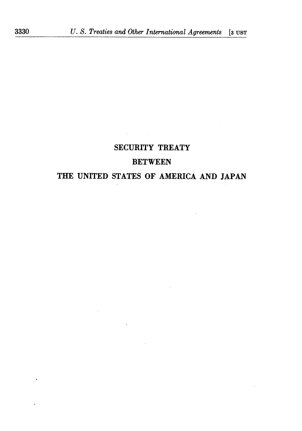### SECURITY TREATY

 $\mathcal{O}(\mathcal{O}(n))$  . The set of  $\mathcal{O}(\mathcal{O}(n))$ 

 $\mathbb{Z}_2$ 

### **BETWEEN**

## THE UNITED **STATES** OF AMERICA **AND JAPAN**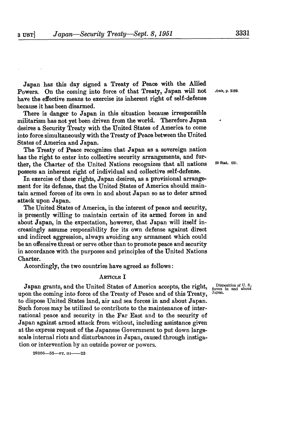Japan has this day signed a Treaty of Peace with the Allied Powers. On the coming into force of that Treaty, Japan will not have the effective means to exercise its inherent right of self-defense because it has been disarmed.

There is danger to Japan in this situation because irresponsible militarism has not yet been driven from the world. Therefore Japan desires a Security Treaty with the United States of America to come into force simultaneously with the Treaty of Peace between the United States of America and Japan.

The Treaty of Peace recognizes that Japan as a sovereign nation has the right to enter into collective security arrangements, and further, the Charter of the United Nations recognizes that all nations possess an inherent right of individual and collective self-defense.

In exercise of these rights, Japan desires, as a provisional arrangement for its defense, that the United States of America should maintain armed forces of its own in and about Japan so as to deter armed attack upon Japan.

The United States of America, in the interest of peace and security, is presently willing to maintain certain of its armed forces in and about Japan, in the expectation, however, that Japan will itself increasingly assume responsibility for its own defense against direct and indirect aggression, always avoiding any armament which could **be** an offensive threat or serve other than to promote peace and security in accordance with the purposes and principles of the United Nations Charter.

Accordingly, the two countries have agreed as follows:

#### **ARTIcLE** I

Japan grants, and the United States of America accepts, the right, upon the coming into force of the Treaty of Peace and of this Treaty, to dispose United States land, air and sea forces in and about Japan. Such forces may be utilized to contribute to the maintenance of international peace and security in the Far East and to the security of Japan against armed attack from without, including assistance given at the express request of the Japanese Government to put down largescale internal riots and disturbances in Japan, caused through instigation or intervention **by** an outside power or powers.

**29366-55-PT. nx-23**

*Ante,* **p. 8169.**

 $\overline{\phantom{a}}$ 

**59** Stat. **031.**

Disposition of **U. S.** forces in and about Japan.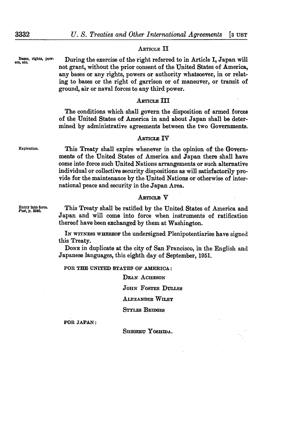3332 *U. S. Treaties and Other International Agreements* **13 UST**

### ARTICLE II

Bases, rights, pow-<br> **Exercise of the right referred to in Article I, Japan will**<br> **not grant, without the prior consent of the United States of America,** any bases or any rights, powers or authority whatsoever, in or relating to bases or the right of garrison or of maneuver, or transit of ground, air or naval forces to any third power.

### **ARTICLE** III

The conditions which shall govern the disposition of armed forces of the United States of America in and about Japan shall be determined **by** administrative agreements between the two Governments.

### **ARTICLE IV**

**Expiration.** This Treaty shall expire whenever in the opinion of the Governments of the United States of America and Japan there shall have come into force such-United Nations arrangements or such alternative individual or collective security dispositions as will satisfactorily provide for the maintenance **by** the United Nations or otherwise of international peace and security in the Japan Area.

### **ARTICLE** V

**Entry into fore.** This Treaty shall **be** ratified **by** the United States of America and *Post, p.* **3340.** Japan and will come into force when instruments of ratification thereof have been exchanged **by** them at Washington.

> In witness whereor the undersigned Plenipotentiaries have signed this Treaty.

> **DONE** in duplicate at the city of San Francisco, in the English and Japanese languages, this eighth day of September, **1951.**

**FOR THE UNITED STATES OF AMERICA:**

**DEAN ACHESON JOHN FOSTER DULLES ALEXANDER** WILEY STYLEs **BRIDGES**

**FOR JAPAN:**

**SHIGERU YOSHIDA.**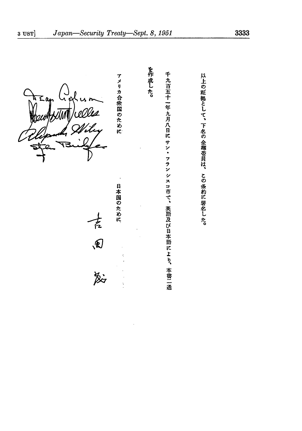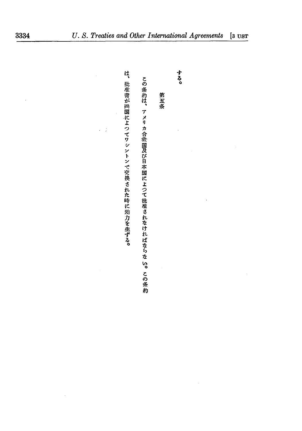は、 批准書が両国によつてワシントンで交換された時に効力を生ずる。

 $\frac{1}{2}$  $\ddot{\phantom{a}}$ 

この条約は、アメリカ合衆国及び日本国によつて批准されなければならない。この条約

第五条

する。

3334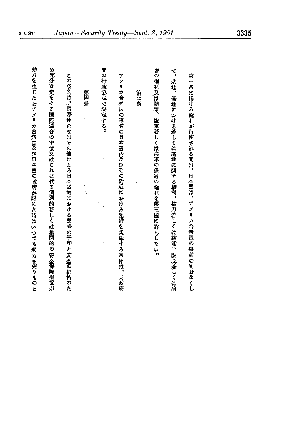| <b>この</b><br>条約は、国際連合又はその他による日本区域における国際<br>の平和と安全の<br>維持のた | 閒<br>の<br>行<br>政協定で決定する。<br>第四条          | ァ<br>×<br>ij<br>カ合衆国の軍隊の日本国内及びその附近における配備を規律する条<br>第三条<br>(件は、<br>両政府 | 習の<br>権利又は陸軍、<br>空軍若しくは海軍の通過の権利を第三国に許与し<br>$\bar{\hat{\mathbf{z}}}$<br>r<br>o | て<br>基地、<br>基地における若しくは基地に関する権利、<br>権力若しくは権能、<br>駐兵若しくは演 |
|------------------------------------------------------------|------------------------------------------|----------------------------------------------------------------------|-------------------------------------------------------------------------------|---------------------------------------------------------|
|                                                            | め充分な定をする国際連合の措置又はこれに代る個別的若しくは集団的の安全保障措置が |                                                                      |                                                                               |                                                         |
|                                                            |                                          |                                                                      |                                                                               |                                                         |

 $\hat{\mathcal{L}}$ 

 $\ddot{\cdot}$ 

 $\bar{\beta}$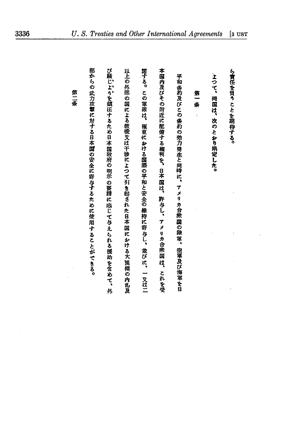| 部からの武力攻撃に対する日本国の安全に寄与するために使用することができる。 | び騒じようを鎮圧するため日本国政府の明示の要請に応じて与えられる援助を含めて、外 | 以上の外部の国による教唆文は干渉によつて引き起された日本国における大規模の内乱及 | 諾する。<br>この軍隊は、<br>極東における国際の平和と安全の維持に寄与し、<br>並びに、一又は二 | 本国内及びその附近に配備する権利を、<br>日本<br>「困は、<br>許与し、<br>アメリカ合衆国は、<br>これを受 | 平和条約及びこの条約の効力発生と同時に、<br>アメリカ合衆国の陸軍、<br>空軍及び海軍を日 | 第一<br>.<br>K<br>ŧ | よつて、<br>両国は、<br>次のとおり協定した。 | ら實任を貧う ことを期待する。 |
|---------------------------------------|------------------------------------------|------------------------------------------|------------------------------------------------------|---------------------------------------------------------------|-------------------------------------------------|-------------------|----------------------------|-----------------|
|---------------------------------------|------------------------------------------|------------------------------------------|------------------------------------------------------|---------------------------------------------------------------|-------------------------------------------------|-------------------|----------------------------|-----------------|

第二条

 $\bar{\gamma}$  $\ddot{\phantom{a}}$ 

J,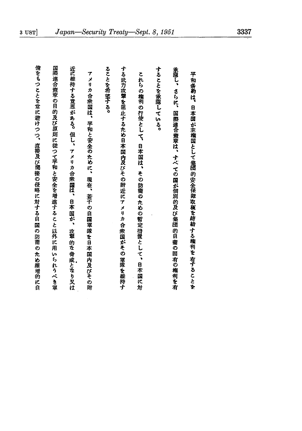| 備をもつことを常に避けつつ、直接及び間接の侵略に対する自国の防衛のため漸増的に自         | ることを希望する。                                                                                                                                      | する武力攻撃を阻止するため日本国内及びその附近にアメリカ 合衆国がその 軍隊を維持す | これらの榴利の行使として、<br>日本国は、その防衛のための暫定措置として、日本国に対 |
|--------------------------------------------------|------------------------------------------------------------------------------------------------------------------------------------------------|--------------------------------------------|---------------------------------------------|
|                                                  | 近に維持する意思がある。<br>$\boldsymbol{\tau}$<br>・メリ<br>カ合衆国は、<br>平和と安全のために、<br>但し、<br>アメリカ合衆国は、<br>現在、<br>若干の自国軍隊を日本国内及びその附<br>日本国が、<br>攻撃<br>的な脅威となり叉は |                                            |                                             |
| 国際連合競輦の目的及び原則に従つて平和と安全を増進すること以外に用いられうべき軍         |                                                                                                                                                |                                            |                                             |
|                                                  |                                                                                                                                                |                                            |                                             |
|                                                  |                                                                                                                                                |                                            |                                             |
| することを承認している。                                     |                                                                                                                                                |                                            |                                             |
| 承認し、<br>さらに、<br>国際連合激章は、すべての国が個別的及び集団的自衛の固有の権利を有 |                                                                                                                                                |                                            |                                             |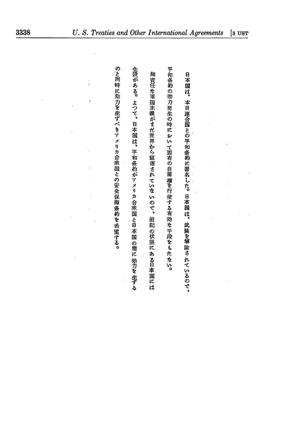$\frac{1}{2}$ 

 $\frac{1}{1}$ 

l,

| のと同時に効力を生ずへきアメリカ合衆国との安全保障条約を希望する。 | 危険がある。よつて、日本国は、平和条約がアメリカ合衆国と日本国の間に効力を生ずる | 無費任な軍国主義がまだ世界から駆逐されていないので、前記の状態にある日本国には | 平和条約の効力発生の時において固有の自衞権を行使する有効な手段をもたない。 | 日本国は、本日連合国との平和条約に署名した。日本国は、<br>武装を解除さ れているので、 |
|-----------------------------------|------------------------------------------|-----------------------------------------|---------------------------------------|-----------------------------------------------|
|-----------------------------------|------------------------------------------|-----------------------------------------|---------------------------------------|-----------------------------------------------|

 $\overline{a}$ 

 $\mathbf{r}$ 

3338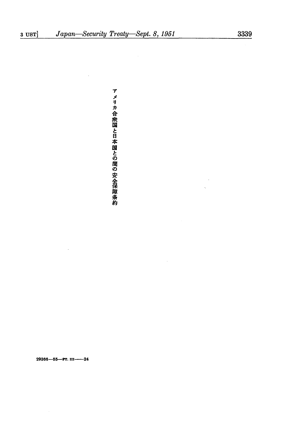アメリカ合衆国と日本国との間の安全保障条約

÷.

**29366-55--PT. 11-24**